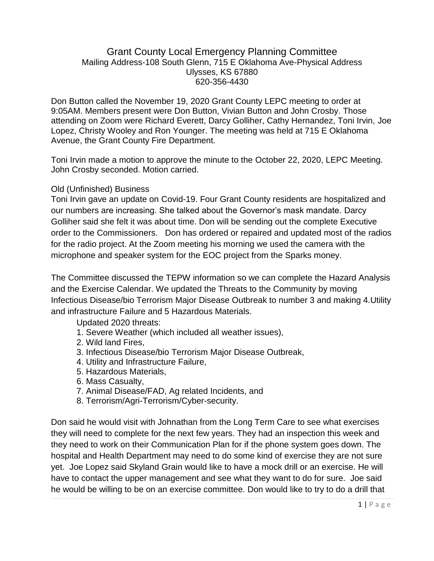### Grant County Local Emergency Planning Committee Mailing Address-108 South Glenn, 715 E Oklahoma Ave-Physical Address Ulysses, KS 67880 620-356-4430

Don Button called the November 19, 2020 Grant County LEPC meeting to order at 9:05AM. Members present were Don Button, Vivian Button and John Crosby. Those attending on Zoom were Richard Everett, Darcy Golliher, Cathy Hernandez, Toni Irvin, Joe Lopez, Christy Wooley and Ron Younger. The meeting was held at 715 E Oklahoma Avenue, the Grant County Fire Department.

Toni Irvin made a motion to approve the minute to the October 22, 2020, LEPC Meeting. John Crosby seconded. Motion carried.

### Old (Unfinished) Business

Toni Irvin gave an update on Covid-19. Four Grant County residents are hospitalized and our numbers are increasing. She talked about the Governor's mask mandate. Darcy Golliher said she felt it was about time. Don will be sending out the complete Executive order to the Commissioners. Don has ordered or repaired and updated most of the radios for the radio project. At the Zoom meeting his morning we used the camera with the microphone and speaker system for the EOC project from the Sparks money.

The Committee discussed the TEPW information so we can complete the Hazard Analysis and the Exercise Calendar. We updated the Threats to the Community by moving Infectious Disease/bio Terrorism Major Disease Outbreak to number 3 and making 4.Utility and infrastructure Failure and 5 Hazardous Materials.

Updated 2020 threats:

- 1. Severe Weather (which included all weather issues),
- 2. Wild land Fires,
- 3. Infectious Disease/bio Terrorism Major Disease Outbreak,
- 4. Utility and Infrastructure Failure,
- 5. Hazardous Materials,
- 6. Mass Casualty,
- 7. Animal Disease/FAD, Ag related Incidents, and
- 8. Terrorism/Agri-Terrorism/Cyber-security.

Don said he would visit with Johnathan from the Long Term Care to see what exercises they will need to complete for the next few years. They had an inspection this week and they need to work on their Communication Plan for if the phone system goes down. The hospital and Health Department may need to do some kind of exercise they are not sure yet. Joe Lopez said Skyland Grain would like to have a mock drill or an exercise. He will have to contact the upper management and see what they want to do for sure. Joe said he would be willing to be on an exercise committee. Don would like to try to do a drill that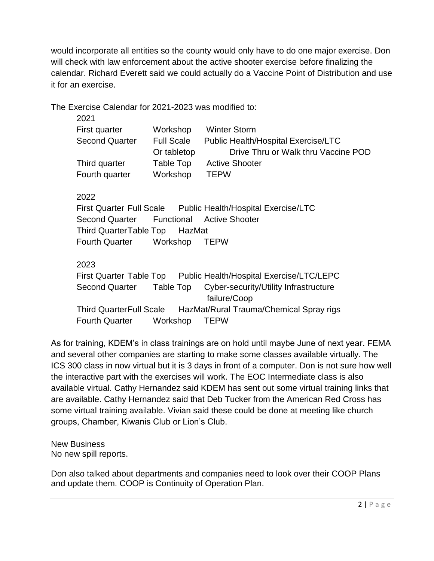would incorporate all entities so the county would only have to do one major exercise. Don will check with law enforcement about the active shooter exercise before finalizing the calendar. Richard Everett said we could actually do a Vaccine Point of Distribution and use it for an exercise.

The Exercise Calendar for 2021-2023 was modified to:

| 2021                  |                   |                                            |
|-----------------------|-------------------|--------------------------------------------|
| First quarter         | Workshop          | <b>Winter Storm</b>                        |
| <b>Second Quarter</b> | <b>Full Scale</b> | <b>Public Health/Hospital Exercise/LTC</b> |
|                       | Or tabletop       | Drive Thru or Walk thru Vaccine POD        |
| Third quarter         | Table Top         | <b>Active Shooter</b>                      |
| Fourth quarter        | Workshop          | <b>TEPW</b>                                |
|                       |                   |                                            |

# 2022

First Quarter Full Scale Public Health/Hospital Exercise/LTC Second Quarter Functional Active Shooter Third QuarterTable Top HazMat Fourth Quarter Workshop TEPW

# 2023

First Quarter Table Top Public Health/Hospital Exercise/LTC/LEPC Second Quarter Table Top Cyber-security/Utility Infrastructure failure/Coop Third QuarterFull Scale HazMat/Rural Trauma/Chemical Spray rigs Fourth Quarter Workshop TEPW

As for training, KDEM's in class trainings are on hold until maybe June of next year. FEMA and several other companies are starting to make some classes available virtually. The ICS 300 class in now virtual but it is 3 days in front of a computer. Don is not sure how well the interactive part with the exercises will work. The EOC Intermediate class is also available virtual. Cathy Hernandez said KDEM has sent out some virtual training links that are available. Cathy Hernandez said that Deb Tucker from the American Red Cross has some virtual training available. Vivian said these could be done at meeting like church groups, Chamber, Kiwanis Club or Lion's Club.

New Business No new spill reports.

Don also talked about departments and companies need to look over their COOP Plans and update them. COOP is Continuity of Operation Plan.